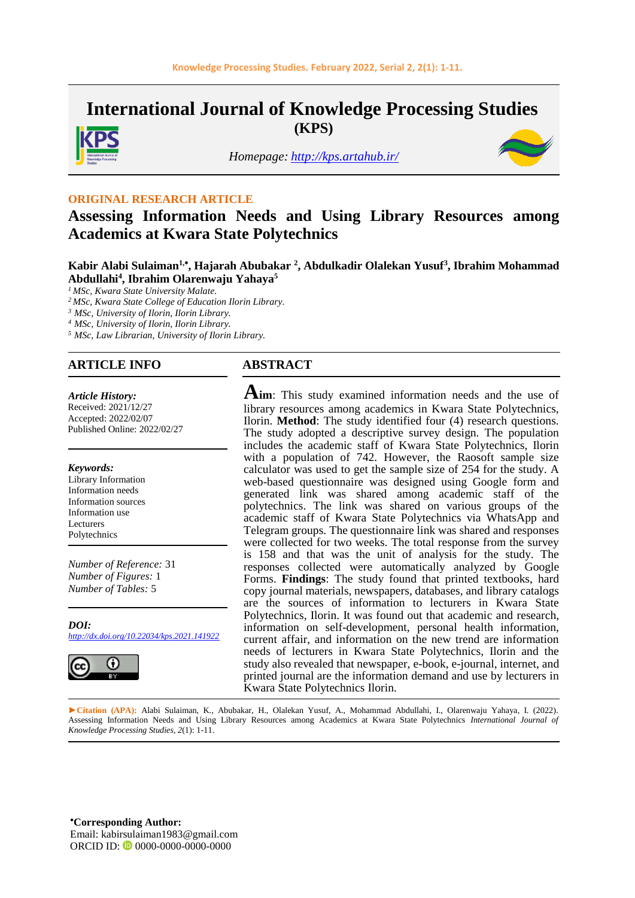**International Journal of Knowledge Processing Studies (KPS)**

*Homepage: <http://kps.artahub.ir/>*



#### **ORIGINAL RESEARCH ARTICLE**

# **Assessing Information Needs and Using Library Resources among Academics at Kwara State Polytechnics**

#### **Kabir Alabi Sulaiman1, , Hajarah Abubakar <sup>2</sup> , Abdulkadir Olalekan Yusuf<sup>3</sup> , Ibrahim Mohammad Abdullahi<sup>4</sup> , Ibrahim Olarenwaju Yahaya<sup>5</sup>**

*<sup>1</sup> MSc, Kwara State University Malate.*

*<sup>2</sup> MSc, Kwara State College of Education Ilorin Library.*

*<sup>3</sup> MSc, University of Ilorin, Ilorin Library.*

*<sup>4</sup> MSc, University of Ilorin, Ilorin Library.*

*<sup>5</sup> MSc, Law Librarian, University of Ilorin Library.*

#### **ARTICLE INFO ABSTRACT**

*Article History:* Received: 2021/12/27

Accepted: 2022/02/07 Published Online: 2022/02/27

#### *Keywords:*

Library Information Information needs Information sources Information use Lecturers Polytechnics

*Number of Reference:* 31 *Number of Figures:* 1 *Number of Tables:* 5

*DOI: <http://dx.doi.org/10.22034/kps.2021.141922>*



**Aim**: This study examined information needs and the use of library resources among academics in Kwara State Polytechnics, Ilorin. **Method**: The study identified four (4) research questions. The study adopted a descriptive survey design. The population includes the academic staff of Kwara State Polytechnics, Ilorin with a population of 742. However, the Raosoft sample size calculator was used to get the sample size of 254 for the study. A web-based questionnaire was designed using Google form and generated link was shared among academic staff of the polytechnics. The link was shared on various groups of the academic staff of Kwara State Polytechnics via WhatsApp and Telegram groups. The questionnaire link was shared and responses were collected for two weeks. The total response from the survey is 158 and that was the unit of analysis for the study. The responses collected were automatically analyzed by Google Forms. **Findings**: The study found that printed textbooks, hard copy journal materials, newspapers, databases, and library catalogs are the sources of information to lecturers in Kwara State Polytechnics, Ilorin. It was found out that academic and research, information on self-development, personal health information, current affair, and information on the new trend are information needs of lecturers in Kwara State Polytechnics, Ilorin and the study also revealed that newspaper, e-book, e-journal, internet, and printed journal are the information demand and use by lecturers in Kwara State Polytechnics Ilorin.

**►Citation (APA):** Alabi Sulaiman, K., Abubakar, H., Olalekan Yusuf, A., Mohammad Abdullahi, I., Olarenwaju Yahaya, I. (2022). Assessing Information Needs and Using Library Resources among Academics at Kwara State Polytechnics *International Journal of Knowledge Processing Studies, 2*(1): 1-11.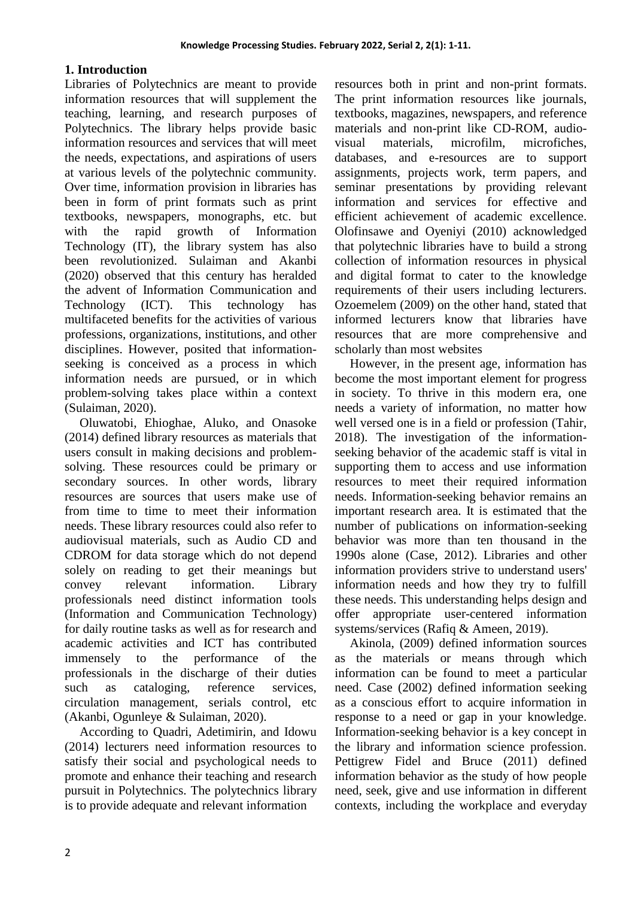#### **1. Introduction**

Libraries of Polytechnics are meant to provide information resources that will supplement the teaching, learning, and research purposes of Polytechnics. The library helps provide basic information resources and services that will meet the needs, expectations, and aspirations of users at various levels of the polytechnic community. Over time, information provision in libraries has been in form of print formats such as print textbooks, newspapers, monographs, etc. but with the rapid growth of Information Technology (IT), the library system has also been revolutionized. Sulaiman and Akanbi (2020) observed that this century has heralded the advent of Information Communication and Technology (ICT). This technology has multifaceted benefits for the activities of various professions, organizations, institutions, and other disciplines. However, posited that informationseeking is conceived as a process in which information needs are pursued, or in which problem-solving takes place within a context (Sulaiman, 2020).

Oluwatobi, Ehioghae, Aluko, and Onasoke (2014) defined library resources as materials that users consult in making decisions and problemsolving. These resources could be primary or secondary sources. In other words, library resources are sources that users make use of from time to time to meet their information needs. These library resources could also refer to audiovisual materials, such as Audio CD and CDROM for data storage which do not depend solely on reading to get their meanings but convey relevant information. Library professionals need distinct information tools (Information and Communication Technology) for daily routine tasks as well as for research and academic activities and ICT has contributed immensely to the performance of the professionals in the discharge of their duties such as cataloging, reference services, circulation management, serials control, etc (Akanbi, Ogunleye & Sulaiman, 2020).

According to Quadri, Adetimirin, and Idowu (2014) lecturers need information resources to satisfy their social and psychological needs to promote and enhance their teaching and research pursuit in Polytechnics. The polytechnics library is to provide adequate and relevant information

resources both in print and non-print formats. The print information resources like journals, textbooks, magazines, newspapers, and reference materials and non-print like CD-ROM, audiovisual materials, microfilm, microfiches, databases, and e-resources are to support assignments, projects work, term papers, and seminar presentations by providing relevant information and services for effective and efficient achievement of academic excellence. Olofinsawe and Oyeniyi (2010) acknowledged that polytechnic libraries have to build a strong collection of information resources in physical and digital format to cater to the knowledge requirements of their users including lecturers. Ozoemelem (2009) on the other hand, stated that informed lecturers know that libraries have resources that are more comprehensive and scholarly than most websites

However, in the present age, information has become the most important element for progress in society. To thrive in this modern era, one needs a variety of information, no matter how well versed one is in a field or profession (Tahir, 2018). The investigation of the informationseeking behavior of the academic staff is vital in supporting them to access and use information resources to meet their required information needs. Information-seeking behavior remains an important research area. It is estimated that the number of publications on information-seeking behavior was more than ten thousand in the 1990s alone (Case, 2012). Libraries and other information providers strive to understand users' information needs and how they try to fulfill these needs. This understanding helps design and offer appropriate user-centered information systems/services (Rafiq & Ameen, 2019).

Akinola, (2009) defined information sources as the materials or means through which information can be found to meet a particular need. Case (2002) defined information seeking as a conscious effort to acquire information in response to a need or gap in your knowledge. Information-seeking behavior is a key concept in the library and information science profession. Pettigrew Fidel and Bruce (2011) defined information behavior as the study of how people need, seek, give and use information in different contexts, including the workplace and everyday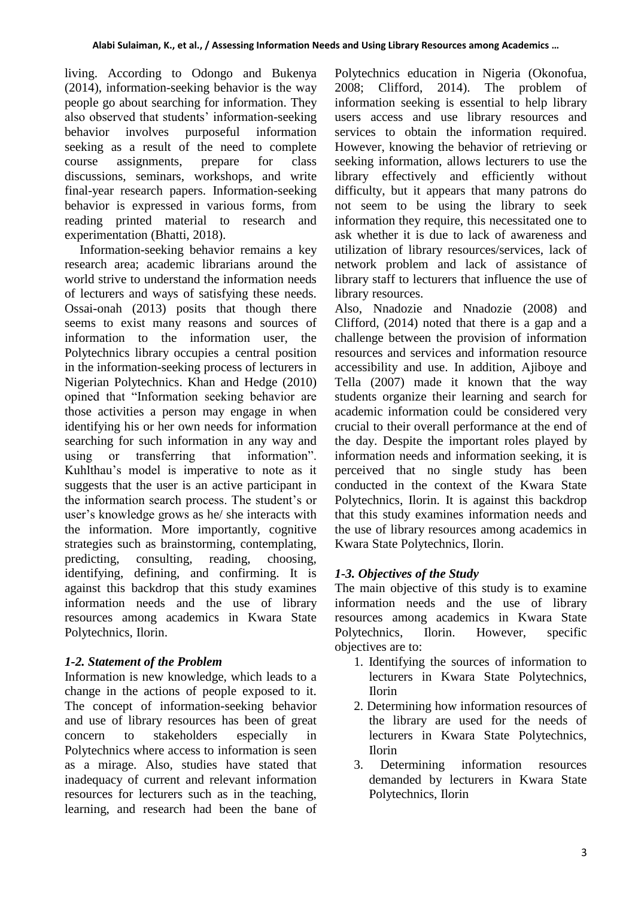living. According to Odongo and Bukenya (2014), information-seeking behavior is the way people go about searching for information. They also observed that students' information-seeking behavior involves purposeful information seeking as a result of the need to complete course assignments, prepare for class discussions, seminars, workshops, and write final-year research papers. Information-seeking behavior is expressed in various forms, from reading printed material to research and experimentation (Bhatti, 2018).

Information-seeking behavior remains a key research area; academic librarians around the world strive to understand the information needs of lecturers and ways of satisfying these needs. Ossai-onah (2013) posits that though there seems to exist many reasons and sources of information to the information user, the Polytechnics library occupies a central position in the information-seeking process of lecturers in Nigerian Polytechnics. Khan and Hedge (2010) opined that "Information seeking behavior are those activities a person may engage in when identifying his or her own needs for information searching for such information in any way and using or transferring that information". Kuhlthau's model is imperative to note as it suggests that the user is an active participant in the information search process. The student's or user's knowledge grows as he/ she interacts with the information. More importantly, cognitive strategies such as brainstorming, contemplating, predicting, consulting, reading, choosing, identifying, defining, and confirming. It is against this backdrop that this study examines information needs and the use of library resources among academics in Kwara State Polytechnics, Ilorin.

# *1-2. Statement of the Problem*

Information is new knowledge, which leads to a change in the actions of people exposed to it. The concept of information-seeking behavior and use of library resources has been of great concern to stakeholders especially in Polytechnics where access to information is seen as a mirage. Also, studies have stated that inadequacy of current and relevant information resources for lecturers such as in the teaching, learning, and research had been the bane of Polytechnics education in Nigeria (Okonofua, 2008; Clifford, 2014). The problem of information seeking is essential to help library users access and use library resources and services to obtain the information required. However, knowing the behavior of retrieving or seeking information, allows lecturers to use the library effectively and efficiently without difficulty, but it appears that many patrons do not seem to be using the library to seek information they require, this necessitated one to ask whether it is due to lack of awareness and utilization of library resources/services, lack of network problem and lack of assistance of library staff to lecturers that influence the use of library resources.

Also, Nnadozie and Nnadozie (2008) and Clifford, (2014) noted that there is a gap and a challenge between the provision of information resources and services and information resource accessibility and use. In addition, Ajiboye and Tella (2007) made it known that the way students organize their learning and search for academic information could be considered very crucial to their overall performance at the end of the day. Despite the important roles played by information needs and information seeking, it is perceived that no single study has been conducted in the context of the Kwara State Polytechnics, Ilorin. It is against this backdrop that this study examines information needs and the use of library resources among academics in Kwara State Polytechnics, Ilorin.

# *1-3. Objectives of the Study*

The main objective of this study is to examine information needs and the use of library resources among academics in Kwara State Polytechnics, Ilorin. However, specific objectives are to:

- 1. Identifying the sources of information to lecturers in Kwara State Polytechnics, Ilorin
- 2. Determining how information resources of the library are used for the needs of lecturers in Kwara State Polytechnics, Ilorin
- 3. Determining information resources demanded by lecturers in Kwara State Polytechnics, Ilorin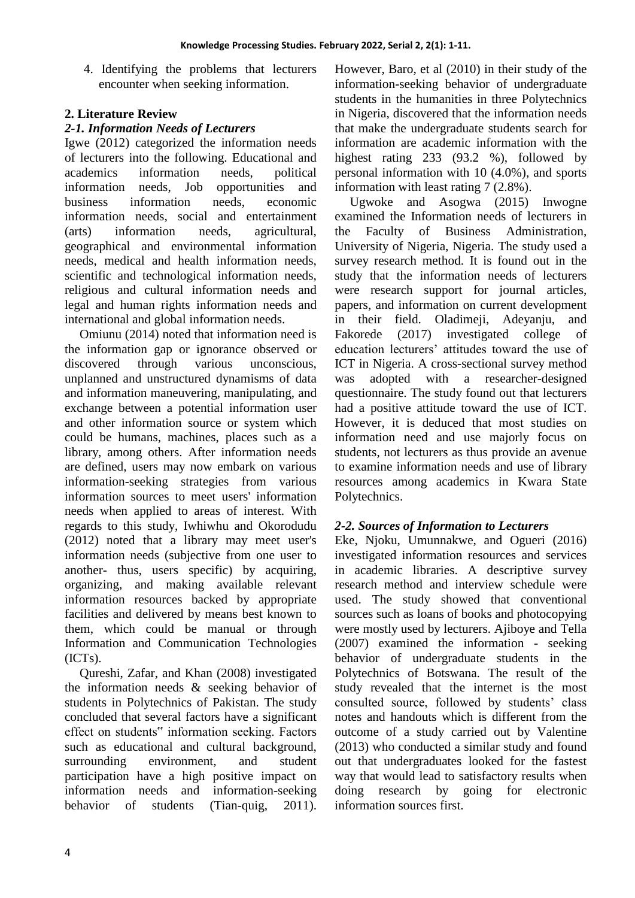4. Identifying the problems that lecturers encounter when seeking information.

## **2. Literature Review**

## *2-1. Information Needs of Lecturers*

Igwe (2012) categorized the information needs of lecturers into the following. Educational and academics information needs, political information needs, Job opportunities and business information needs, economic information needs, social and entertainment (arts) information needs, agricultural, geographical and environmental information needs, medical and health information needs, scientific and technological information needs, religious and cultural information needs and legal and human rights information needs and international and global information needs.

Omiunu (2014) noted that information need is the information gap or ignorance observed or discovered through various unconscious, unplanned and unstructured dynamisms of data and information maneuvering, manipulating, and exchange between a potential information user and other information source or system which could be humans, machines, places such as a library, among others. After information needs are defined, users may now embark on various information-seeking strategies from various information sources to meet users' information needs when applied to areas of interest. With regards to this study, Iwhiwhu and Okorodudu (2012) noted that a library may meet user's information needs (subjective from one user to another- thus, users specific) by acquiring, organizing, and making available relevant information resources backed by appropriate facilities and delivered by means best known to them, which could be manual or through Information and Communication Technologies (ICTs).

Qureshi, Zafar, and Khan (2008) investigated the information needs & seeking behavior of students in Polytechnics of Pakistan. The study concluded that several factors have a significant effect on students" information seeking. Factors such as educational and cultural background, surrounding environment, and student participation have a high positive impact on information needs and information-seeking behavior of students (Tian-quig, 2011).

However, Baro, et al (2010) in their study of the information-seeking behavior of undergraduate students in the humanities in three Polytechnics in Nigeria, discovered that the information needs that make the undergraduate students search for information are academic information with the highest rating 233 (93.2 %), followed by personal information with 10 (4.0%), and sports information with least rating 7 (2.8%).

Ugwoke and Asogwa (2015) Inwogne examined the Information needs of lecturers in the Faculty of Business Administration, University of Nigeria, Nigeria. The study used a survey research method. It is found out in the study that the information needs of lecturers were research support for journal articles, papers, and information on current development in their field. Oladimeji, Adeyanju, and Fakorede (2017) investigated college of education lecturers' attitudes toward the use of ICT in Nigeria. A cross-sectional survey method was adopted with a researcher-designed questionnaire. The study found out that lecturers had a positive attitude toward the use of ICT. However, it is deduced that most studies on information need and use majorly focus on students, not lecturers as thus provide an avenue to examine information needs and use of library resources among academics in Kwara State Polytechnics.

## *2-2. Sources of Information to Lecturers*

Eke, Njoku, Umunnakwe, and Ogueri (2016) investigated information resources and services in academic libraries. A descriptive survey research method and interview schedule were used. The study showed that conventional sources such as loans of books and photocopying were mostly used by lecturers. Ajiboye and Tella (2007) examined the information - seeking behavior of undergraduate students in the Polytechnics of Botswana. The result of the study revealed that the internet is the most consulted source, followed by students' class notes and handouts which is different from the outcome of a study carried out by Valentine (2013) who conducted a similar study and found out that undergraduates looked for the fastest way that would lead to satisfactory results when doing research by going for electronic information sources first.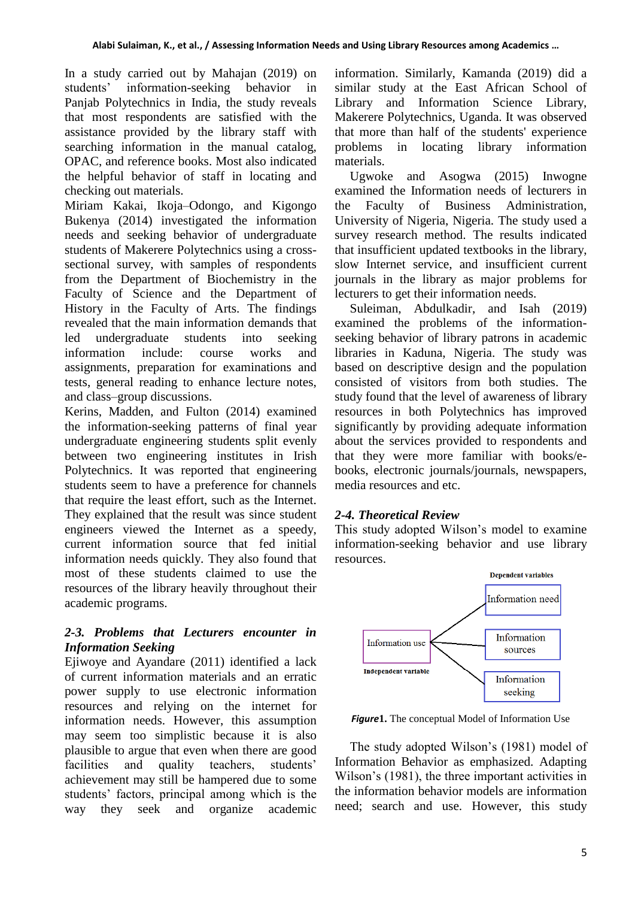In a study carried out by Mahajan (2019) on students' information-seeking behavior in Panjab Polytechnics in India, the study reveals that most respondents are satisfied with the assistance provided by the library staff with searching information in the manual catalog, OPAC, and reference books. Most also indicated the helpful behavior of staff in locating and checking out materials.

Miriam Kakai, Ikoja–Odongo, and Kigongo Bukenya (2014) investigated the information needs and seeking behavior of undergraduate students of Makerere Polytechnics using a crosssectional survey, with samples of respondents from the Department of Biochemistry in the Faculty of Science and the Department of History in the Faculty of Arts. The findings revealed that the main information demands that led undergraduate students into seeking information include: course works and assignments, preparation for examinations and tests, general reading to enhance lecture notes, and class–group discussions.

Kerins, Madden, and Fulton (2014) examined the information-seeking patterns of final year undergraduate engineering students split evenly between two engineering institutes in Irish Polytechnics. It was reported that engineering students seem to have a preference for channels that require the least effort, such as the Internet. They explained that the result was since student engineers viewed the Internet as a speedy, current information source that fed initial information needs quickly. They also found that most of these students claimed to use the resources of the library heavily throughout their academic programs.

## *2-3. Problems that Lecturers encounter in Information Seeking*

Ejiwoye and Ayandare (2011) identified a lack of current information materials and an erratic power supply to use electronic information resources and relying on the internet for information needs. However, this assumption may seem too simplistic because it is also plausible to argue that even when there are good facilities and quality teachers, students' achievement may still be hampered due to some students' factors, principal among which is the way they seek and organize academic

information. Similarly, Kamanda (2019) did a similar study at the East African School of Library and Information Science Library, Makerere Polytechnics, Uganda. It was observed that more than half of the students' experience problems in locating library information materials.

Ugwoke and Asogwa (2015) Inwogne examined the Information needs of lecturers in the Faculty of Business Administration, University of Nigeria, Nigeria. The study used a survey research method. The results indicated that insufficient updated textbooks in the library, slow Internet service, and insufficient current journals in the library as major problems for lecturers to get their information needs.

Suleiman, Abdulkadir, and Isah (2019) examined the problems of the informationseeking behavior of library patrons in academic libraries in Kaduna, Nigeria. The study was based on descriptive design and the population consisted of visitors from both studies. The study found that the level of awareness of library resources in both Polytechnics has improved significantly by providing adequate information about the services provided to respondents and that they were more familiar with books/ebooks, electronic journals/journals, newspapers, media resources and etc.

#### *2-4. Theoretical Review*

This study adopted Wilson's model to examine information-seeking behavior and use library resources.



*Figure***1.** The conceptual Model of Information Use

The study adopted Wilson's (1981) model of Information Behavior as emphasized. Adapting Wilson's (1981), the three important activities in the information behavior models are information need; search and use. However, this study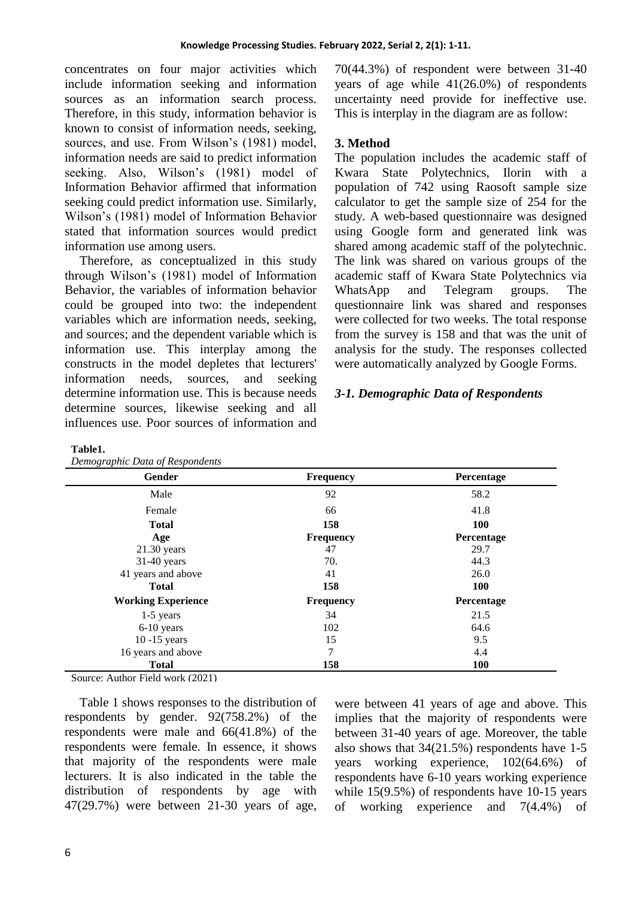concentrates on four major activities which include information seeking and information sources as an information search process. Therefore, in this study, information behavior is known to consist of information needs, seeking, sources, and use. From Wilson's (1981) model, information needs are said to predict information seeking. Also, Wilson's (1981) model of Information Behavior affirmed that information seeking could predict information use. Similarly, Wilson's (1981) model of Information Behavior stated that information sources would predict information use among users.

Therefore, as conceptualized in this study through Wilson's (1981) model of Information Behavior, the variables of information behavior could be grouped into two: the independent variables which are information needs, seeking, and sources; and the dependent variable which is information use. This interplay among the constructs in the model depletes that lecturers' information needs, sources, and seeking determine information use. This is because needs determine sources, likewise seeking and all influences use. Poor sources of information and 70(44.3%) of respondent were between 31-40 years of age while 41(26.0%) of respondents uncertainty need provide for ineffective use. This is interplay in the diagram are as follow:

#### **3. Method**

The population includes the academic staff of Kwara State Polytechnics, Ilorin with a population of 742 using Raosoft sample size calculator to get the sample size of 254 for the study. A web-based questionnaire was designed using Google form and generated link was shared among academic staff of the polytechnic. The link was shared on various groups of the academic staff of Kwara State Polytechnics via WhatsApp and Telegram groups. The questionnaire link was shared and responses were collected for two weeks. The total response from the survey is 158 and that was the unit of analysis for the study. The responses collected were automatically analyzed by Google Forms.

#### *3-1. Demographic Data of Respondents*

| Demographic Data of Respondents |  |
|---------------------------------|--|
|---------------------------------|--|

| Gender                    | <b>Frequency</b> | Percentage |
|---------------------------|------------------|------------|
| Male                      | 92               | 58.2       |
| Female                    | 66               | 41.8       |
| <b>Total</b>              | 158              | <b>100</b> |
| Age                       | <b>Frequency</b> | Percentage |
| $21.30$ years             | 47               | 29.7       |
| $31-40$ years             | 70.              | 44.3       |
| 41 years and above        | 41               | 26.0       |
| <b>Total</b>              | 158              | <b>100</b> |
| <b>Working Experience</b> | <b>Frequency</b> | Percentage |
| $1-5$ years               | 34               | 21.5       |
| 6-10 years                | 102              | 64.6       |
| $10 - 15$ years           | 15               | 9.5        |
| 16 years and above        | 7                | 4.4        |
| <b>Total</b>              | 158              | <b>100</b> |

Source: Author Field work (2021)

Table 1 shows responses to the distribution of respondents by gender. 92(758.2%) of the respondents were male and 66(41.8%) of the respondents were female. In essence, it shows that majority of the respondents were male lecturers. It is also indicated in the table the distribution of respondents by age with 47(29.7%) were between 21-30 years of age,

were between 41 years of age and above. This implies that the majority of respondents were between 31-40 years of age. Moreover, the table also shows that 34(21.5%) respondents have 1-5 years working experience, 102(64.6%) of respondents have 6-10 years working experience while 15(9.5%) of respondents have 10-15 years of working experience and 7(4.4%) of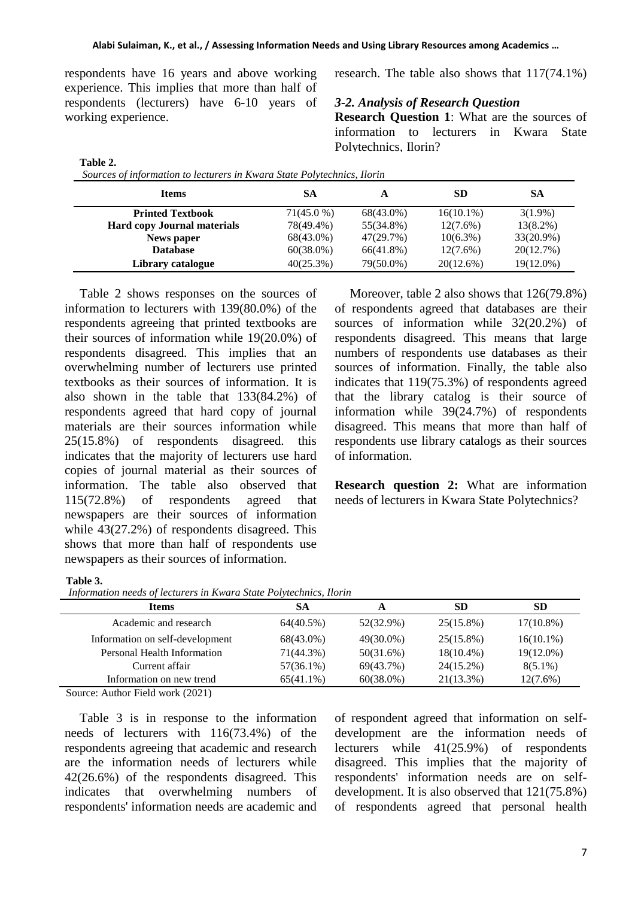respondents have 16 years and above working experience. This implies that more than half of respondents (lecturers) have 6-10 years of working experience.

*Sources of information to lecturers in Kwara State Polytechnics, Ilorin*

research. The table also shows that 117(74.1%)

#### *3-2. Analysis of Research Question*

**Research Question 1**: What are the sources of information to lecturers in Kwara State Polytechnics, Ilorin?

| <b>Items</b>                       | SА           | A         | SD           | SА           |
|------------------------------------|--------------|-----------|--------------|--------------|
| <b>Printed Textbook</b>            | $71(45.0\%)$ | 68(43.0%) | $16(10.1\%)$ | $3(1.9\%)$   |
| <b>Hard copy Journal materials</b> | 78(49.4%)    | 55(34.8%) | $12(7.6\%)$  | $13(8.2\%)$  |
| News paper                         | 68(43.0%)    | 47(29.7%) | $10(6.3\%)$  | $33(20.9\%)$ |
| <b>Database</b>                    | $60(38.0\%)$ | 66(41.8%) | $12(7.6\%)$  | 20(12.7%)    |
| Library catalogue                  | 40(25.3%)    | 79(50.0%) | 20(12.6%)    | 19(12.0%)    |

Table 2 shows responses on the sources of information to lecturers with 139(80.0%) of the respondents agreeing that printed textbooks are their sources of information while 19(20.0%) of respondents disagreed. This implies that an overwhelming number of lecturers use printed textbooks as their sources of information. It is also shown in the table that 133(84.2%) of respondents agreed that hard copy of journal materials are their sources information while 25(15.8%) of respondents disagreed. this indicates that the majority of lecturers use hard copies of journal material as their sources of information. The table also observed that 115(72.8%) of respondents agreed that newspapers are their sources of information while 43(27.2%) of respondents disagreed. This shows that more than half of respondents use newspapers as their sources of information.

Moreover, table 2 also shows that 126(79.8%) of respondents agreed that databases are their sources of information while 32(20.2%) of respondents disagreed. This means that large numbers of respondents use databases as their sources of information. Finally, the table also indicates that 119(75.3%) of respondents agreed that the library catalog is their source of information while 39(24.7%) of respondents disagreed. This means that more than half of respondents use library catalogs as their sources of information.

**Research question 2:** What are information needs of lecturers in Kwara State Polytechnics?

#### **Table 3.**

**Table 2.**

*Information needs of lecturers in Kwara State Polytechnics, Ilorin*

| <b>Items</b>                    | SА           | A            | <b>SD</b>    | <b>SD</b>    |
|---------------------------------|--------------|--------------|--------------|--------------|
| Academic and research           | 64(40.5%)    | 52(32.9%)    | 25(15.8%)    | $17(10.8\%)$ |
| Information on self-development | 68(43.0%)    | 49(30.0%)    | $25(15.8\%)$ | $16(10.1\%)$ |
| Personal Health Information     | 71(44.3%)    | 50(31.6%)    | $18(10.4\%)$ | $19(12.0\%)$ |
| Current affair                  | $57(36.1\%)$ | 69(43.7%)    | $24(15.2\%)$ | $8(5.1\%)$   |
| Information on new trend        | $65(41.1\%)$ | $60(38.0\%)$ | $21(13.3\%)$ | $12(7.6\%)$  |
|                                 |              |              |              |              |

Source: Author Field work (2021)

Table 3 is in response to the information needs of lecturers with 116(73.4%) of the respondents agreeing that academic and research are the information needs of lecturers while 42(26.6%) of the respondents disagreed. This indicates that overwhelming numbers of respondents' information needs are academic and

of respondent agreed that information on selfdevelopment are the information needs of lecturers while 41(25.9%) of respondents disagreed. This implies that the majority of respondents' information needs are on selfdevelopment. It is also observed that 121(75.8%) of respondents agreed that personal health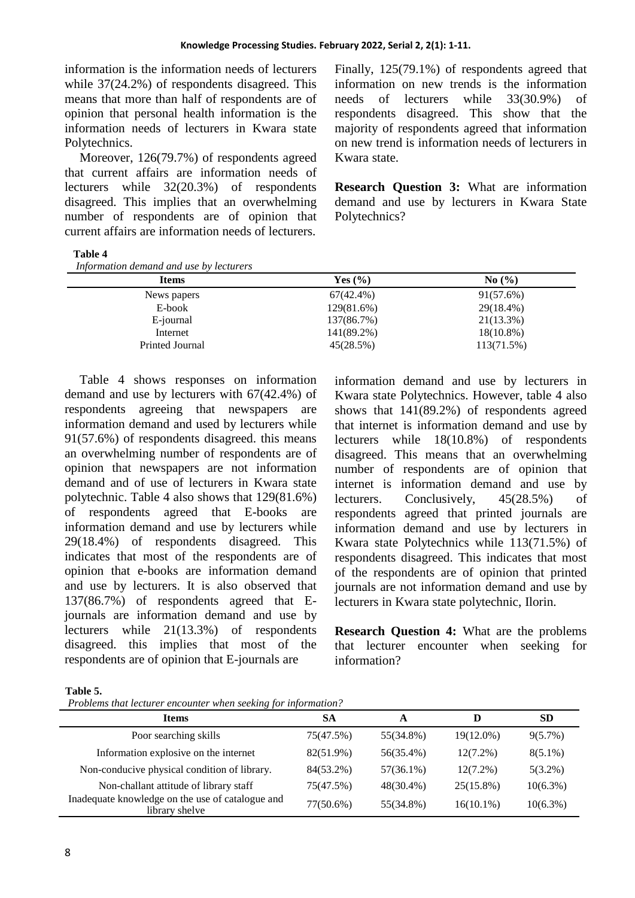information is the information needs of lecturers while 37(24.2%) of respondents disagreed. This means that more than half of respondents are of opinion that personal health information is the information needs of lecturers in Kwara state Polytechnics.

Moreover, 126(79.7%) of respondents agreed that current affairs are information needs of lecturers while 32(20.3%) of respondents disagreed. This implies that an overwhelming number of respondents are of opinion that current affairs are information needs of lecturers.

Finally, 125(79.1%) of respondents agreed that information on new trends is the information needs of lecturers while 33(30.9%) of respondents disagreed. This show that the majority of respondents agreed that information on new trend is information needs of lecturers in Kwara state.

**Research Question 3:** What are information demand and use by lecturers in Kwara State Polytechnics?

#### **Table 4**

| Yes $(\% )$  | No(%)        |  |
|--------------|--------------|--|
| $67(42.4\%)$ | 91(57.6%)    |  |
| 129(81.6%)   | 29(18.4%)    |  |
| 137(86.7%)   | 21(13.3%)    |  |
| 141(89.2%)   | $18(10.8\%)$ |  |
| 45(28.5%)    | 113(71.5%)   |  |
|              |              |  |

Table 4 shows responses on information demand and use by lecturers with 67(42.4%) of respondents agreeing that newspapers are information demand and used by lecturers while 91(57.6%) of respondents disagreed. this means an overwhelming number of respondents are of opinion that newspapers are not information demand and of use of lecturers in Kwara state polytechnic. Table 4 also shows that 129(81.6%) of respondents agreed that E-books are information demand and use by lecturers while 29(18.4%) of respondents disagreed. This indicates that most of the respondents are of opinion that e-books are information demand and use by lecturers. It is also observed that 137(86.7%) of respondents agreed that Ejournals are information demand and use by lecturers while 21(13.3%) of respondents disagreed. this implies that most of the respondents are of opinion that E-journals are

information demand and use by lecturers in Kwara state Polytechnics. However, table 4 also shows that 141(89.2%) of respondents agreed that internet is information demand and use by lecturers while 18(10.8%) of respondents disagreed. This means that an overwhelming number of respondents are of opinion that internet is information demand and use by lecturers. Conclusively, 45(28.5%) of respondents agreed that printed journals are information demand and use by lecturers in Kwara state Polytechnics while 113(71.5%) of respondents disagreed. This indicates that most of the respondents are of opinion that printed journals are not information demand and use by lecturers in Kwara state polytechnic, Ilorin.

**Research Question 4:** What are the problems that lecturer encounter when seeking for information?

| able |  |
|------|--|
|      |  |

*Problems that lecturer encounter when seeking for information?*

| <b>Items</b>                                                       | SА        | A            | D            | <b>SD</b>   |
|--------------------------------------------------------------------|-----------|--------------|--------------|-------------|
| Poor searching skills                                              | 75(47.5%) | 55(34.8%)    | 19(12.0%)    | $9(5.7\%)$  |
| Information explosive on the internet                              | 82(51.9%) | 56(35.4%)    | $12(7.2\%)$  | $8(5.1\%)$  |
| Non-conducive physical condition of library.                       | 84(53.2%) | $57(36.1\%)$ | $12(7.2\%)$  | $5(3.2\%)$  |
| Non-challant attitude of library staff                             | 75(47.5%) | 48(30.4%)    | $25(15.8\%)$ | $10(6.3\%)$ |
| Inadequate knowledge on the use of catalogue and<br>library shelve | 77(50.6%) | 55(34.8%)    | $16(10.1\%)$ | $10(6.3\%)$ |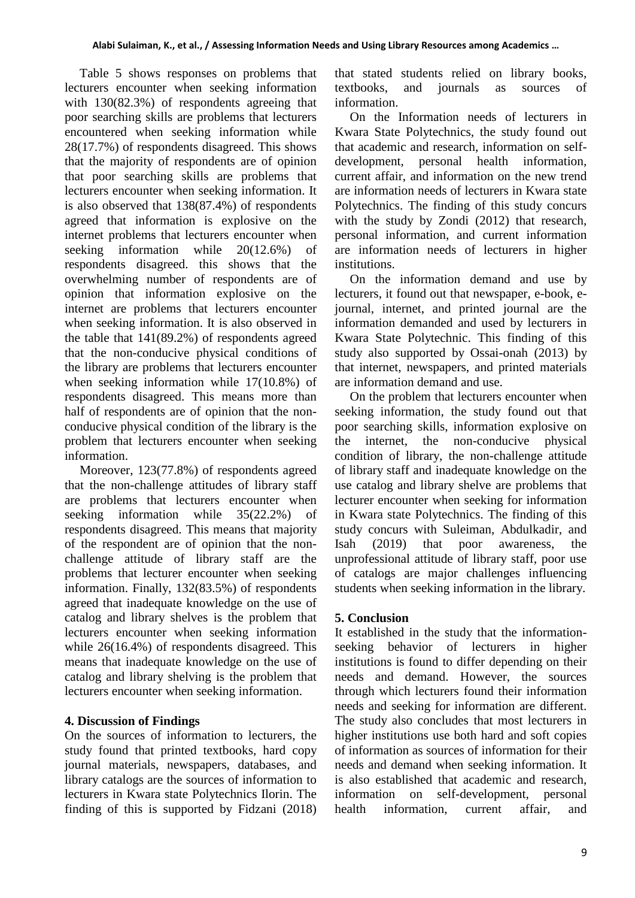Table 5 shows responses on problems that lecturers encounter when seeking information with 130(82.3%) of respondents agreeing that poor searching skills are problems that lecturers encountered when seeking information while 28(17.7%) of respondents disagreed. This shows that the majority of respondents are of opinion that poor searching skills are problems that lecturers encounter when seeking information. It is also observed that 138(87.4%) of respondents agreed that information is explosive on the internet problems that lecturers encounter when seeking information while 20(12.6%) of respondents disagreed. this shows that the overwhelming number of respondents are of opinion that information explosive on the internet are problems that lecturers encounter when seeking information. It is also observed in the table that 141(89.2%) of respondents agreed that the non-conducive physical conditions of the library are problems that lecturers encounter when seeking information while 17(10.8%) of respondents disagreed. This means more than half of respondents are of opinion that the nonconducive physical condition of the library is the problem that lecturers encounter when seeking information.

Moreover, 123(77.8%) of respondents agreed that the non-challenge attitudes of library staff are problems that lecturers encounter when seeking information while 35(22.2%) of respondents disagreed. This means that majority of the respondent are of opinion that the nonchallenge attitude of library staff are the problems that lecturer encounter when seeking information. Finally, 132(83.5%) of respondents agreed that inadequate knowledge on the use of catalog and library shelves is the problem that lecturers encounter when seeking information while 26(16.4%) of respondents disagreed. This means that inadequate knowledge on the use of catalog and library shelving is the problem that lecturers encounter when seeking information.

## **4. Discussion of Findings**

On the sources of information to lecturers, the study found that printed textbooks, hard copy journal materials, newspapers, databases, and library catalogs are the sources of information to lecturers in Kwara state Polytechnics Ilorin. The finding of this is supported by Fidzani (2018) that stated students relied on library books, textbooks, and journals as sources of information.

On the Information needs of lecturers in Kwara State Polytechnics, the study found out that academic and research, information on selfdevelopment, personal health information. current affair, and information on the new trend are information needs of lecturers in Kwara state Polytechnics. The finding of this study concurs with the study by Zondi (2012) that research, personal information, and current information are information needs of lecturers in higher institutions.

On the information demand and use by lecturers, it found out that newspaper, e-book, ejournal, internet, and printed journal are the information demanded and used by lecturers in Kwara State Polytechnic. This finding of this study also supported by Ossai-onah (2013) by that internet, newspapers, and printed materials are information demand and use.

On the problem that lecturers encounter when seeking information, the study found out that poor searching skills, information explosive on the internet, the non-conducive physical condition of library, the non-challenge attitude of library staff and inadequate knowledge on the use catalog and library shelve are problems that lecturer encounter when seeking for information in Kwara state Polytechnics. The finding of this study concurs with Suleiman, Abdulkadir, and Isah (2019) that poor awareness, the unprofessional attitude of library staff, poor use of catalogs are major challenges influencing students when seeking information in the library.

## **5. Conclusion**

It established in the study that the informationseeking behavior of lecturers in higher institutions is found to differ depending on their needs and demand. However, the sources through which lecturers found their information needs and seeking for information are different. The study also concludes that most lecturers in higher institutions use both hard and soft copies of information as sources of information for their needs and demand when seeking information. It is also established that academic and research, information on self-development, personal health information, current affair, and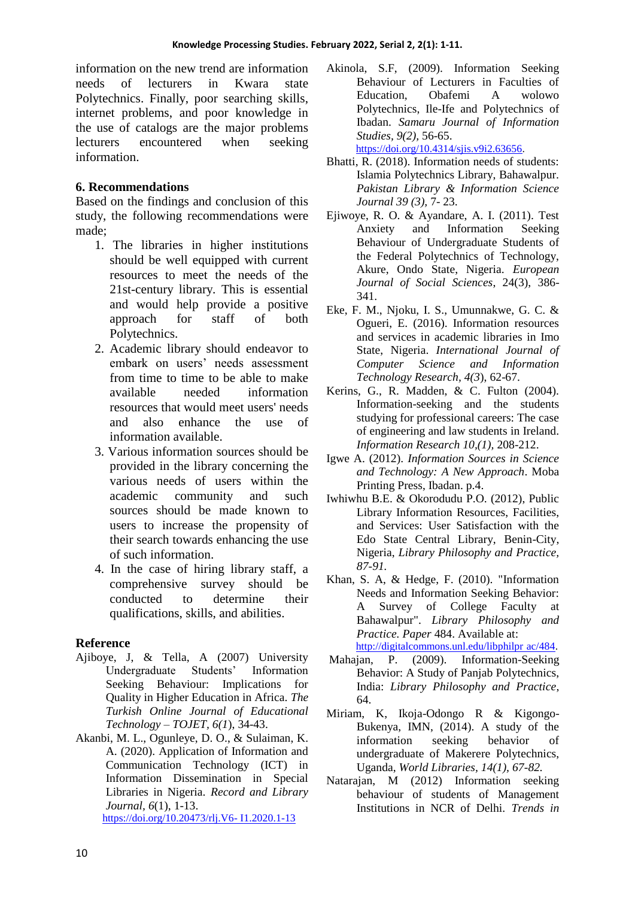information on the new trend are information needs of lecturers in Kwara state Polytechnics. Finally, poor searching skills, internet problems, and poor knowledge in the use of catalogs are the major problems lecturers encountered when seeking information.

## **6. Recommendations**

Based on the findings and conclusion of this study, the following recommendations were made;

- 1. The libraries in higher institutions should be well equipped with current resources to meet the needs of the 21st-century library. This is essential and would help provide a positive approach for staff of both Polytechnics.
- 2. Academic library should endeavor to embark on users' needs assessment from time to time to be able to make available needed information resources that would meet users' needs and also enhance the use of information available.
- 3. Various information sources should be provided in the library concerning the various needs of users within the academic community and such sources should be made known to users to increase the propensity of their search towards enhancing the use of such information.
- 4. In the case of hiring library staff, a comprehensive survey should be conducted to determine their qualifications, skills, and abilities.

## **Reference**

- Ajiboye, J, & Tella, A (2007) University Undergraduate Students' Information Seeking Behaviour: Implications for Quality in Higher Education in Africa. *The Turkish Online Journal of Educational Technology – TOJET, 6(1*), 34-43.
- Akanbi, M. L., Ogunleye, D. O., & Sulaiman, K. A. (2020). Application of Information and Communication Technology (ICT) in Information Dissemination in Special Libraries in Nigeria. *Record and Library Journal, 6*(1), 1-13. [https://doi.org/10.20473/rlj.V6-](https://doi.org/10.20473/rlj.V6-%20I1.2020.1-13) I1.2020.1-13

Akinola, S.F, (2009). Information Seeking Behaviour of Lecturers in Faculties of Education, Obafemi A wolowo Polytechnics, Ile-Ife and Polytechnics of Ibadan. *Samaru Journal of Information Studies, 9(2),* 56-65. [https://doi.org/10.4314/sjis.v9i2.63656.](https://doi.org/10.4314/sjis.v9i2.63656)

Bhatti, R. (2018). Information needs of students: Islamia Polytechnics Library, Bahawalpur. *Pakistan Library & Information Science Journal 39 (3),* 7- 23.

- Ejiwoye, R. O. & Ayandare, A. I. (2011). Test Anxiety and Information Seeking Behaviour of Undergraduate Students of the Federal Polytechnics of Technology, Akure, Ondo State, Nigeria. *European Journal of Social Sciences*, 24(3), 386- 341.
- Eke, F. M., Njoku, I. S., Umunnakwe, G. C. & Ogueri, E. (2016). Information resources and services in academic libraries in Imo State, Nigeria. *International Journal of Computer Science and Information Technology Research, 4(3*), 62-67.
- Kerins, G., R. Madden, & C. Fulton (2004). Information-seeking and the students studying for professional careers: The case of engineering and law students in Ireland. *Information Research 10,(1),* 208-212.
- Igwe A. (2012). *Information Sources in Science and Technology: A New Approach*. Moba Printing Press, Ibadan. p.4.
- Iwhiwhu B.E. & Okorodudu P.O. (2012), Public Library Information Resources, Facilities, and Services: User Satisfaction with the Edo State Central Library, Benin-City, Nigeria, *Library Philosophy and Practice, 87-91.*
- Khan, S. A, & Hedge, F. (2010). "Information Needs and Information Seeking Behavior: A Survey of College Faculty at Bahawalpur". *Library Philosophy and Practice. Paper* 484. Available at: [http://digitalcommons.unl.edu/libphilpr ac/484.](http://digitalcommons.unl.edu/libphilpr%20ac/484)
- Mahajan, P. (2009). Information-Seeking Behavior: A Study of Panjab Polytechnics, India: *Library Philosophy and Practice*, 64.
- Miriam, K, Ikoja-Odongo R & Kigongo-Bukenya, IMN, (2014). A study of the information seeking behavior of undergraduate of Makerere Polytechnics, Uganda, *World Libraries, 14(1), 67-82.*
- Natarajan, M (2012) Information seeking behaviour of students of Management Institutions in NCR of Delhi. *Trends in*